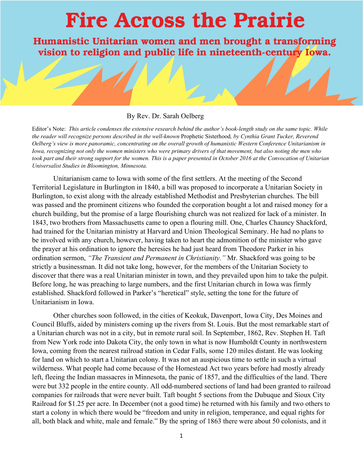## **Fire Across the Prairie**

Humanistic Unitarian women and men brought a transforming vision to religion and public life in nineteenth-century Iowa.

## By Rev. Dr. Sarah Oelberg

Editor's Note: *This article condenses the extensive research behind the author's book-length study on the same topic. While the reader will recognize persons described in the well-known* Prophetic Sisterhood*, by Cynthia Grant Tucker, Reverend Oelberg's view is more panoramic, concentrating on the overall growth of humanistic Western Conference Unitarianism in Iowa, recognizing not only the women ministers who were primary drivers of that movement, but also noting the men who took part and their strong support for the women. This is a paper presented in October 2016 at the Convocation of Unitarian Universalist Studies in Bloomington, Minnesota.* 

Unitarianism came to Iowa with some of the first settlers. At the meeting of the Second Territorial Legislature in Burlington in 1840, a bill was proposed to incorporate a Unitarian Society in Burlington, to exist along with the already established Methodist and Presbyterian churches. The bill was passed and the prominent citizens who founded the corporation bought a lot and raised money for a church building, but the promise of a large flourishing church was not realized for lack of a minister. In 1843, two brothers from Massachusetts came to open a flouring mill. One, Charles Chauncy Shackford, had trained for the Unitarian ministry at Harvard and Union Theological Seminary. He had no plans to be involved with any church, however, having taken to heart the admonition of the minister who gave the prayer at his ordination to ignore the heresies he had just heard from Theodore Parker in his ordination sermon, *"The Transient and Permanent in Christianity."* Mr. Shackford was going to be strictly a businessman. It did not take long, however, for the members of the Unitarian Society to discover that there was a real Unitarian minister in town, and they prevailed upon him to take the pulpit. Before long, he was preaching to large numbers, and the first Unitarian church in Iowa was firmly established. Shackford followed in Parker's "heretical" style, setting the tone for the future of Unitarianism in Iowa.

Other churches soon followed, in the cities of Keokuk, Davenport, Iowa City, Des Moines and Council Bluffs, aided by ministers coming up the rivers from St. Louis. But the most remarkable start of a Unitarian church was not in a city, but in remote rural soil. In September, 1862, Rev. Stephen H. Taft from New York rode into Dakota City, the only town in what is now Humboldt County in northwestern Iowa, coming from the nearest railroad station in Cedar Falls, some 120 miles distant. He was looking for land on which to start a Unitarian colony. It was not an auspicious time to settle in such a virtual wilderness. What people had come because of the Homestead Act two years before had mostly already left, fleeing the Indian massacres in Minnesota, the panic of 1857, and the difficulties of the land. There were but 332 people in the entire county. All odd-numbered sections of land had been granted to railroad companies for railroads that were never built. Taft bought 5 sections from the Dubuque and Sioux City Railroad for \$1.25 per acre. In December (not a good time) he returned with his family and two others to start a colony in which there would be "freedom and unity in religion, temperance, and equal rights for all, both black and white, male and female." By the spring of 1863 there were about 50 colonists, and it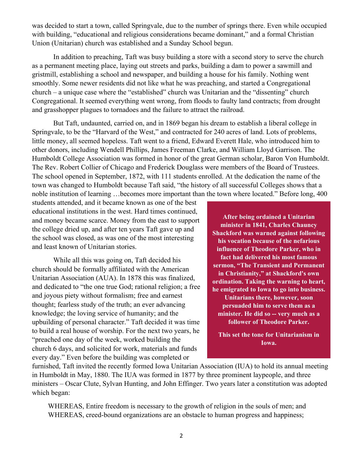was decided to start a town, called Springvale, due to the number of springs there. Even while occupied with building, "educational and religious considerations became dominant," and a formal Christian Union (Unitarian) church was established and a Sunday School begun.

In addition to preaching, Taft was busy building a store with a second story to serve the church as a permanent meeting place, laying out streets and parks, building a dam to power a sawmill and gristmill, establishing a school and newspaper, and building a house for his family. Nothing went smoothly. Some newer residents did not like what he was preaching, and started a Congregational church – a unique case where the "established" church was Unitarian and the "dissenting" church Congregational. It seemed everything went wrong, from floods to faulty land contracts; from drought and grasshopper plagues to tornadoes and the failure to attract the railroad.

But Taft, undaunted, carried on, and in 1869 began his dream to establish a liberal college in Springvale, to be the "Harvard of the West," and contracted for 240 acres of land. Lots of problems, little money, all seemed hopeless. Taft went to a friend, Edward Everett Hale, who introduced him to other donors, including Wendell Phillips, James Freeman Clarke, and William Lloyd Garrison. The Humboldt College Association was formed in honor of the great German scholar, Baron Von Humboldt. The Rev. Robert Collier of Chicago and Frederick Douglass were members of the Board of Trustees. The school opened in September, 1872, with 111 students enrolled. At the dedication the name of the town was changed to Humboldt because Taft said, "the history of all successful Colleges shows that a noble institution of learning …becomes more important than the town where located." Before long, 400

students attended, and it became known as one of the best educational institutions in the west. Hard times continued, and money became scarce. Money from the east to support the college dried up, and after ten years Taft gave up and the school was closed, as was one of the most interesting and least known of Unitarian stories.

While all this was going on, Taft decided his church should be formally affiliated with the American Unitarian Association (AUA). In 1878 this was finalized, and dedicated to "the one true God; rational religion; a free and joyous piety without formalism; free and earnest thought; fearless study of the truth; an ever advancing knowledge; the loving service of humanity; and the upbuilding of personal character." Taft decided it was time to build a real house of worship. For the next two years, he "preached one day of the week, worked building the church 6 days, and solicited for work, materials and funds every day." Even before the building was completed or

**After being ordained a Unitarian minister in 1841, Charles Chauncy Shackford was warned against following his vocation because of the nefarious influence of Theodore Parker, who in fact had delivered his most famous sermon, "The Transient and Permanent in Christianity," at Shackford's own ordination. Taking the warning to heart, he emigrated to Iowa to go into business. Unitarians there, however, soon persuaded him to serve them as a minister. He did so -- very much as a follower of Theodore Parker.** 

**This set the tone for Unitarianism in Iowa.** 

furnished, Taft invited the recently formed Iowa Unitarian Association (IUA) to hold its annual meeting in Humboldt in May, 1880. The IUA was formed in 1877 by three prominent laypeople, and three ministers – Oscar Clute, Sylvan Hunting, and John Effinger. Two years later a constitution was adopted which began:

WHEREAS, Entire freedom is necessary to the growth of religion in the souls of men; and WHEREAS, creed-bound organizations are an obstacle to human progress and happiness;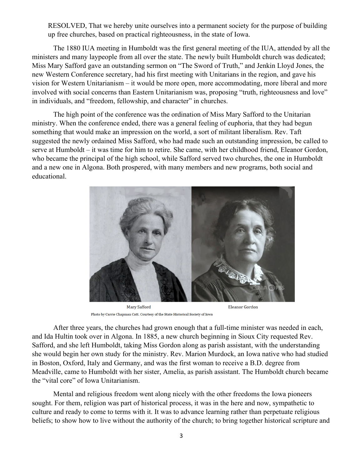RESOLVED, That we hereby unite ourselves into a permanent society for the purpose of building up free churches, based on practical righteousness, in the state of Iowa.

The 1880 IUA meeting in Humboldt was the first general meeting of the IUA, attended by all the ministers and many laypeople from all over the state. The newly built Humboldt church was dedicated; Miss Mary Safford gave an outstanding sermon on "The Sword of Truth," and Jenkin Lloyd Jones, the new Western Conference secretary, had his first meeting with Unitarians in the region, and gave his vision for Western Unitarianism – it would be more open, more accommodating, more liberal and more involved with social concerns than Eastern Unitarianism was, proposing "truth, righteousness and love" in individuals, and "freedom, fellowship, and character" in churches.

The high point of the conference was the ordination of Miss Mary Safford to the Unitarian ministry. When the conference ended, there was a general feeling of euphoria, that they had begun something that would make an impression on the world, a sort of militant liberalism. Rev. Taft suggested the newly ordained Miss Safford, who had made such an outstanding impression, be called to serve at Humboldt – it was time for him to retire. She came, with her childhood friend, Eleanor Gordon, who became the principal of the high school, while Safford served two churches, the one in Humboldt and a new one in Algona. Both prospered, with many members and new programs, both social and educational.



**Mary Safford** Photo by Carrie Chapman Catt. Courtesy of the State Historical Society of Iowa

After three years, the churches had grown enough that a full-time minister was needed in each, and Ida Hultin took over in Algona. In 1885, a new church beginning in Sioux City requested Rev. Safford, and she left Humboldt, taking Miss Gordon along as parish assistant, with the understanding she would begin her own study for the ministry. Rev. Marion Murdock, an Iowa native who had studied in Boston, Oxford, Italy and Germany, and was the first woman to receive a B.D. degree from Meadville, came to Humboldt with her sister, Amelia, as parish assistant. The Humboldt church became the "vital core" of Iowa Unitarianism.

Mental and religious freedom went along nicely with the other freedoms the Iowa pioneers sought. For them, religion was part of historical process, it was in the here and now, sympathetic to culture and ready to come to terms with it. It was to advance learning rather than perpetuate religious beliefs; to show how to live without the authority of the church; to bring together historical scripture and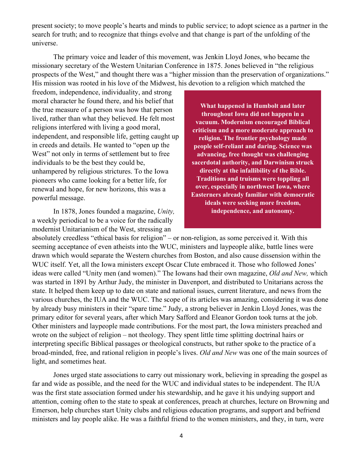present society; to move people's hearts and minds to public service; to adopt science as a partner in the search for truth; and to recognize that things evolve and that change is part of the unfolding of the universe.

The primary voice and leader of this movement, was Jenkin Lloyd Jones, who became the missionary secretary of the Western Unitarian Conference in 1875. Jones believed in "the religious prospects of the West," and thought there was a "higher mission than the preservation of organizations." His mission was rooted in his love of the Midwest, his devotion to a religion which matched the

freedom, independence, individuality, and strong moral character he found there, and his belief that the true measure of a person was how that person lived, rather than what they believed. He felt most religions interfered with living a good moral, independent, and responsible life, getting caught up in creeds and details. He wanted to "open up the West" not only in terms of settlement but to free individuals to be the best they could be, unhampered by religious strictures. To the Iowa pioneers who came looking for a better life, for renewal and hope, for new horizons, this was a powerful message.

In 1878, Jones founded a magazine, *Unity,*  a weekly periodical to be a voice for the radically modernist Unitarianism of the West, stressing an

**What happened in Humbolt and later throughout Iowa did not happen in a vacuum. Modernism encouraged Biblical criticism and a more moderate approach to religion. The frontier psychology made people self-reliant and daring. Science was advancing, free thought was challenging sacerdotal authority, and Darwinism struck directly at the infallibility of the Bible. Traditions and truisms were toppling all over, especially in northwest Iowa, where Easterners already familiar with democratic ideals were seeking more freedom, independence, and autonomy.** 

absolutely creedless "ethical basis for religion" – or non-religion, as some perceived it. With this seeming acceptance of even atheists into the WUC, ministers and laypeople alike, battle lines were drawn which would separate the Western churches from Boston, and also cause dissension within the WUC itself. Yet, all the Iowa ministers except Oscar Clute embraced it. Those who followed Jones' ideas were called "Unity men (and women)." The Iowans had their own magazine, *Old and New,* which was started in 1891 by Arthur Judy, the minister in Davenport, and distributed to Unitarians across the state. It helped them keep up to date on state and national issues, current literature, and news from the various churches, the IUA and the WUC. The scope of its articles was amazing, considering it was done by already busy ministers in their "spare time." Judy, a strong believer in Jenkin Lloyd Jones, was the primary editor for several years, after which Mary Safford and Eleanor Gordon took turns at the job. Other ministers and laypeople made contributions. For the most part, the Iowa ministers preached and wrote on the subject of religion – not theology. They spent little time splitting doctrinal hairs or interpreting specific Biblical passages or theological constructs, but rather spoke to the practice of a broad-minded, free, and rational religion in people's lives. *Old and New* was one of the main sources of light, and sometimes heat.

Jones urged state associations to carry out missionary work, believing in spreading the gospel as far and wide as possible, and the need for the WUC and individual states to be independent. The IUA was the first state association formed under his stewardship, and he gave it his undying support and attention, coming often to the state to speak at conferences, preach at churches, lecture on Browning and Emerson, help churches start Unity clubs and religious education programs, and support and befriend ministers and lay people alike. He was a faithful friend to the women ministers, and they, in turn, were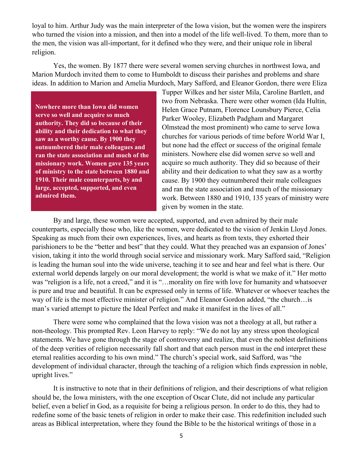loyal to him. Arthur Judy was the main interpreter of the Iowa vision, but the women were the inspirers who turned the vision into a mission, and then into a model of the life well-lived. To them, more than to the men, the vision was all-important, for it defined who they were, and their unique role in liberal religion.

Yes, the women. By 1877 there were several women serving churches in northwest Iowa, and Marion Murdoch invited them to come to Humboldt to discuss their parishes and problems and share ideas. In addition to Marion and Amelia Murdoch, Mary Safford, and Eleanor Gordon, there were Eliza

**Nowhere more than Iowa did women serve so well and acquire so much authority. They did so because of their ability and their dedication to what they saw as a worthy cause. By 1900 they outnumbered their male colleagues and ran the state association and much of the missionary work. Women gave 135 years of ministry to the state between 1880 and 1910. Their male counterparts, by and large, accepted, supported, and even admired them.** 

Tupper Wilkes and her sister Mila, Caroline Bartlett, and two from Nebraska. There were other women (Ida Hultin, Helen Grace Putnam, Florence Lounsbury Pierce, Celia Parker Wooley, Elizabeth Padgham and Margaret Olmstead the most prominent) who came to serve Iowa churches for various periods of time before World War I, but none had the effect or success of the original female ministers. Nowhere else did women serve so well and acquire so much authority. They did so because of their ability and their dedication to what they saw as a worthy cause. By 1900 they outnumbered their male colleagues and ran the state association and much of the missionary work. Between 1880 and 1910, 135 years of ministry were given by women in the state.

By and large, these women were accepted, supported, and even admired by their male counterparts, especially those who, like the women, were dedicated to the vision of Jenkin Lloyd Jones. Speaking as much from their own experiences, lives, and hearts as from texts, they exhorted their parishioners to be the "better and best" that they could. What they preached was an expansion of Jones' vision, taking it into the world through social service and missionary work. Mary Safford said, "Religion is leading the human soul into the wide universe, teaching it to see and hear and feel what is there. Our external world depends largely on our moral development; the world is what we make of it." Her motto was "religion is a life, not a creed," and it is "…morality on fire with love for humanity and whatsoever is pure and true and beautiful. It can be expressed only in terms of life. Whatever or whoever teaches the way of life is the most effective minister of religion." And Eleanor Gordon added, "the church…is man's varied attempt to picture the Ideal Perfect and make it manifest in the lives of all."

There were some who complained that the Iowa vision was not a theology at all, but rather a non-theology. This prompted Rev. Leon Harvey to reply: "We do not lay any stress upon theological statements. We have gone through the stage of controversy and realize, that even the noblest definitions of the deep verities of religion necessarily fall short and that each person must in the end interpret these eternal realities according to his own mind." The church's special work, said Safford, was "the development of individual character, through the teaching of a religion which finds expression in noble, upright lives."

It is instructive to note that in their definitions of religion, and their descriptions of what religion should be, the Iowa ministers, with the one exception of Oscar Clute, did not include any particular belief, even a belief in God, as a requisite for being a religious person. In order to do this, they had to redefine some of the basic tenets of religion in order to make their case. This redefinition included such areas as Biblical interpretation, where they found the Bible to be the historical writings of those in a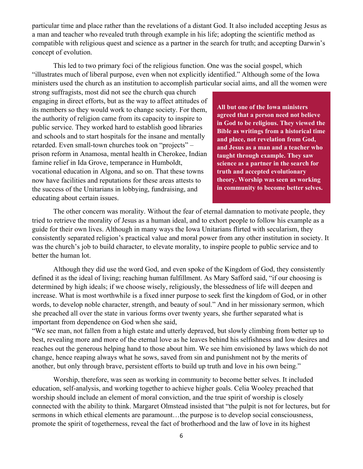particular time and place rather than the revelations of a distant God. It also included accepting Jesus as a man and teacher who revealed truth through example in his life; adopting the scientific method as compatible with religious quest and science as a partner in the search for truth; and accepting Darwin's concept of evolution.

This led to two primary foci of the religious function. One was the social gospel, which "illustrates much of liberal purpose, even when not explicitly identified." Although some of the Iowa ministers used the church as an institution to accomplish particular social aims, and all the women were

strong suffragists, most did not see the church qua church engaging in direct efforts, but as the way to affect attitudes of its members so they would work to change society. For them, the authority of religion came from its capacity to inspire to public service. They worked hard to establish good libraries and schools and to start hospitals for the insane and mentally retarded. Even small-town churches took on "projects" – prison reform in Anamosa, mental health in Cherokee, Indian famine relief in Ida Grove, temperance in Humboldt, vocational education in Algona, and so on. That these towns now have facilities and reputations for these areas attests to the success of the Unitarians in lobbying, fundraising, and educating about certain issues.

**All but one of the Iowa ministers agreed that a person need not believe in God to be religious. They viewed the Bible as writings from a historical time and place, not revelation from God, and Jesus as a man and a teacher who taught through example. They saw science as a partner in the search for truth and accepted evolutionary theory. Worship was seen as working in community to become better selves.** 

The other concern was morality. Without the fear of eternal damnation to motivate people, they tried to retrieve the morality of Jesus as a human ideal, and to exhort people to follow his example as a guide for their own lives. Although in many ways the Iowa Unitarians flirted with secularism, they consistently separated religion's practical value and moral power from any other institution in society. It was the church's job to build character, to elevate morality, to inspire people to public service and to better the human lot.

Although they did use the word God, and even spoke of the Kingdom of God, they consistently defined it as the ideal of living; reaching human fulfillment. As Mary Safford said, "if our choosing is determined by high ideals; if we choose wisely, religiously, the blessedness of life will deepen and increase. What is most worthwhile is a fixed inner purpose to seek first the kingdom of God, or in other words, to develop noble character, strength, and beauty of soul." And in her missionary sermon, which she preached all over the state in various forms over twenty years, she further separated what is important from dependence on God when she said,

"We see man, not fallen from a high estate and utterly depraved, but slowly climbing from better up to best, revealing more and more of the eternal love as he leaves behind his selfishness and low desires and reaches out the generous helping hand to those about him. We see him envisioned by laws which do not change, hence reaping always what he sows, saved from sin and punishment not by the merits of another, but only through brave, persistent efforts to build up truth and love in his own being."

Worship, therefore, was seen as working in community to become better selves. It included education, self-analysis, and working together to achieve higher goals. Celia Wooley preached that worship should include an element of moral conviction, and the true spirit of worship is closely connected with the ability to think. Margaret Olmstead insisted that "the pulpit is not for lectures, but for sermons in which ethical elements are paramount…the purpose is to develop social consciousness, promote the spirit of togetherness, reveal the fact of brotherhood and the law of love in its highest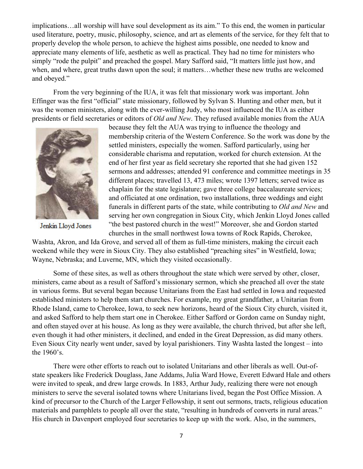implications…all worship will have soul development as its aim." To this end, the women in particular used literature, poetry, music, philosophy, science, and art as elements of the service, for they felt that to properly develop the whole person, to achieve the highest aims possible, one needed to know and appreciate many elements of life, aesthetic as well as practical. They had no time for ministers who simply "rode the pulpit" and preached the gospel. Mary Safford said, "It matters little just how, and when, and where, great truths dawn upon the soul; it matters…whether these new truths are welcomed and obeyed."

From the very beginning of the IUA, it was felt that missionary work was important. John Effinger was the first "official" state missionary, followed by Sylvan S. Hunting and other men, but it was the women ministers, along with the ever-willing Judy, who most influenced the IUA as either presidents or field secretaries or editors of *Old and New*. They refused available monies from the AUA



Jenkin Lloyd Jones

because they felt the AUA was trying to influence the theology and membership criteria of the Western Conference. So the work was done by the settled ministers, especially the women. Safford particularly, using her considerable charisma and reputation, worked for church extension. At the end of her first year as field secretary she reported that she had given 152 sermons and addresses; attended 91 conference and committee meetings in 35 different places; travelled 13, 473 miles; wrote 1397 letters; served twice as chaplain for the state legislature; gave three college baccalaureate services; and officiated at one ordination, two installations, three weddings and eight funerals in different parts of the state, while contributing to *Old and New* and serving her own congregation in Sioux City, which Jenkin Lloyd Jones called "the best pastored church in the west!" Moreover, she and Gordon started churches in the small northwest Iowa towns of Rock Rapids, Cherokee,

Washta, Akron, and Ida Grove, and served all of them as full-time ministers, making the circuit each weekend while they were in Sioux City. They also established "preaching sites" in Westfield, Iowa; Wayne, Nebraska; and Luverne, MN, which they visited occasionally.

Some of these sites, as well as others throughout the state which were served by other, closer, ministers, came about as a result of Safford's missionary sermon, which she preached all over the state in various forms. But several began because Unitarians from the East had settled in Iowa and requested established ministers to help them start churches. For example, my great grandfather, a Unitarian from Rhode Island, came to Cherokee, Iowa, to seek new horizons, heard of the Sioux City church, visited it, and asked Safford to help them start one in Cherokee. Either Safford or Gordon came on Sunday night, and often stayed over at his house. As long as they were available, the church thrived, but after she left, even though it had other ministers, it declined, and ended in the Great Depression, as did many others. Even Sioux City nearly went under, saved by loyal parishioners. Tiny Washta lasted the longest – into the 1960's.

There were other efforts to reach out to isolated Unitarians and other liberals as well. Out-ofstate speakers like Frederick Douglass, Jane Addams, Julia Ward Howe, Everett Edward Hale and others were invited to speak, and drew large crowds. In 1883, Arthur Judy, realizing there were not enough ministers to serve the several isolated towns where Unitarians lived, began the Post Office Mission. A kind of precursor to the Church of the Larger Fellowship, it sent out sermons, tracts, religious education materials and pamphlets to people all over the state, "resulting in hundreds of converts in rural areas." His church in Davenport employed four secretaries to keep up with the work. Also, in the summers,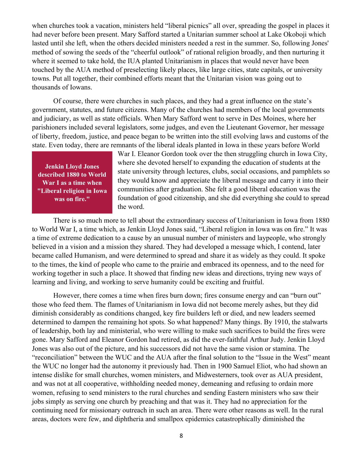when churches took a vacation, ministers held "liberal picnics" all over, spreading the gospel in places it had never before been present. Mary Safford started a Unitarian summer school at Lake Okoboji which lasted until she left, when the others decided ministers needed a rest in the summer. So, following Jones' method of sowing the seeds of the "cheerful outlook" of rational religion broadly, and then nurturing it where it seemed to take hold, the IUA planted Unitarianism in places that would never have been touched by the AUA method of preselecting likely places, like large cities, state capitals, or university towns. Put all together, their combined efforts meant that the Unitarian vision was going out to thousands of Iowans.

Of course, there were churches in such places, and they had a great influence on the state's government, statutes, and future citizens. Many of the churches had members of the local governments and judiciary, as well as state officials. When Mary Safford went to serve in Des Moines, where her parishioners included several legislators, some judges, and even the Lieutenant Governor, her message of liberty, freedom, justice, and peace began to be written into the still evolving laws and customs of the state. Even today, there are remnants of the liberal ideals planted in Iowa in these years before World

**Jenkin Lloyd Jones described 1880 to World War I as a time when "Liberal religion in Iowa was on fire."**

War I. Eleanor Gordon took over the then struggling church in Iowa City, where she devoted herself to expanding the education of students at the state university through lectures, clubs, social occasions, and pamphlets so they would know and appreciate the liberal message and carry it into their communities after graduation. She felt a good liberal education was the foundation of good citizenship, and she did everything she could to spread the word.

There is so much more to tell about the extraordinary success of Unitarianism in Iowa from 1880 to World War I, a time which, as Jenkin Lloyd Jones said, "Liberal religion in Iowa was on fire." It was a time of extreme dedication to a cause by an unusual number of ministers and laypeople, who strongly believed in a vision and a mission they shared. They had developed a message which, I contend, later became called Humanism, and were determined to spread and share it as widely as they could. It spoke to the times, the kind of people who came to the prairie and embraced its openness, and to the need for working together in such a place. It showed that finding new ideas and directions, trying new ways of learning and living, and working to serve humanity could be exciting and fruitful.

However, there comes a time when fires burn down; fires consume energy and can "burn out" those who feed them. The flames of Unitarianism in Iowa did not become merely ashes, but they did diminish considerably as conditions changed, key fire builders left or died, and new leaders seemed determined to dampen the remaining hot spots. So what happened? Many things. By 1910, the stalwarts of leadership, both lay and ministerial, who were willing to make such sacrifices to build the fires were gone. Mary Safford and Eleanor Gordon had retired, as did the ever-faithful Arthur Judy. Jenkin Lloyd Jones was also out of the picture, and his successors did not have the same vision or stamina. The "reconciliation" between the WUC and the AUA after the final solution to the "Issue in the West" meant the WUC no longer had the autonomy it previously had. Then in 1900 Samuel Eliot, who had shown an intense dislike for small churches, women ministers, and Midwesterners, took over as AUA president, and was not at all cooperative, withholding needed money, demeaning and refusing to ordain more women, refusing to send ministers to the rural churches and sending Eastern ministers who saw their jobs simply as serving one church by preaching and that was it. They had no appreciation for the continuing need for missionary outreach in such an area. There were other reasons as well. In the rural areas, doctors were few, and diphtheria and smallpox epidemics catastrophically diminished the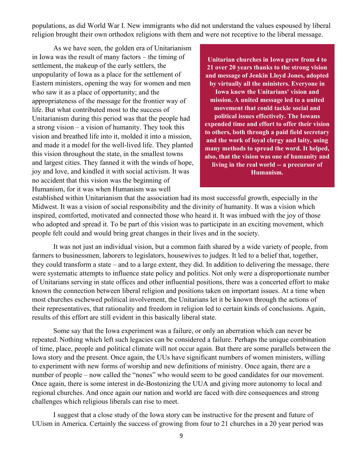populations, as did World War I. New immigrants who did not understand the values espoused by liberal religion brought their own orthodox religions with them and were not receptive to the liberal message.

As we have seen, the golden era of Unitarianism in Iowa was the result of many factors – the timing of settlement, the makeup of the early settlers, the unpopularity of Iowa as a place for the settlement of Eastern ministers, opening the way for women and men who saw it as a place of opportunity; and the appropriateness of the message for the frontier way of life. But what contributed most to the success of Unitarianism during this period was that the people had a strong vision – a vision of humanity. They took this vision and breathed life into it, molded it into a mission, and made it a model for the well-lived life. They planted this vision throughout the state, in the smallest towns and largest cities. They fanned it with the winds of hope, joy and love, and kindled it with social activism. It was no accident that this vision was the beginning of Humanism, for it was when Humanism was well

**Unitarian churches in Iowa grew from 4 to 21 over 20 years thanks to the strong vision and message of Jenkin Lloyd Jones, adopted by virtually all the ministers. Everyone in Iowa knew the Unitarians' vision and mission. A united message led to a united movement that could tackle social and political issues effectively. The Iowans expended time and effort to offer their vision to others, both through a paid field secretary and the work of loyal clergy and laity, using many methods to spread the word. It helped, also, that the vision was one of humanity and living in the real world -- a precursor of Humanism.** 

established within Unitarianism that the association had its most successful growth, especially in the Midwest. It was a vision of social responsibility and the divinity of humanity. It was a vision which inspired, comforted, motivated and connected those who heard it. It was imbued with the joy of those who adopted and spread it. To be part of this vision was to participate in an exciting movement, which people felt could and would bring great changes in their lives and in the society.

It was not just an individual vision, but a common faith shared by a wide variety of people, from farmers to businessmen, laborers to legislators, housewives to judges. It led to a belief that, together, they could transform a state – and to a large extent, they did. In addition to delivering the message, there were systematic attempts to influence state policy and politics. Not only were a disproportionate number of Unitarians serving in state offices and other influential positions, there was a concerted effort to make known the connection between liberal religion and positions taken on important issues. At a time when most churches eschewed political involvement, the Unitarians let it be known through the actions of their representatives, that rationality and freedom in religion led to certain kinds of conclusions. Again, results of this effort are still evident in this basically liberal state.

Some say that the Iowa experiment was a failure, or only an aberration which can never be repeated. Nothing which left such legacies can be considered a failure. Perhaps the unique combination of time, place, people and political climate will not occur again. But there are some parallels between the Iowa story and the present. Once again, the UUs have significant numbers of women ministers, willing to experiment with new forms of worship and new definitions of ministry. Once again, there are a number of people – now called the "nones" who would seem to be good candidates for our movement. Once again, there is some interest in de-Bostonizing the UUA and giving more autonomy to local and regional churches. And once again our nation and world are faced with dire consequences and strong challenges which religious liberals can rise to meet.

I suggest that a close study of the Iowa story can be instructive for the present and future of UUism in America. Certainly the success of growing from four to 21 churches in a 20 year period was